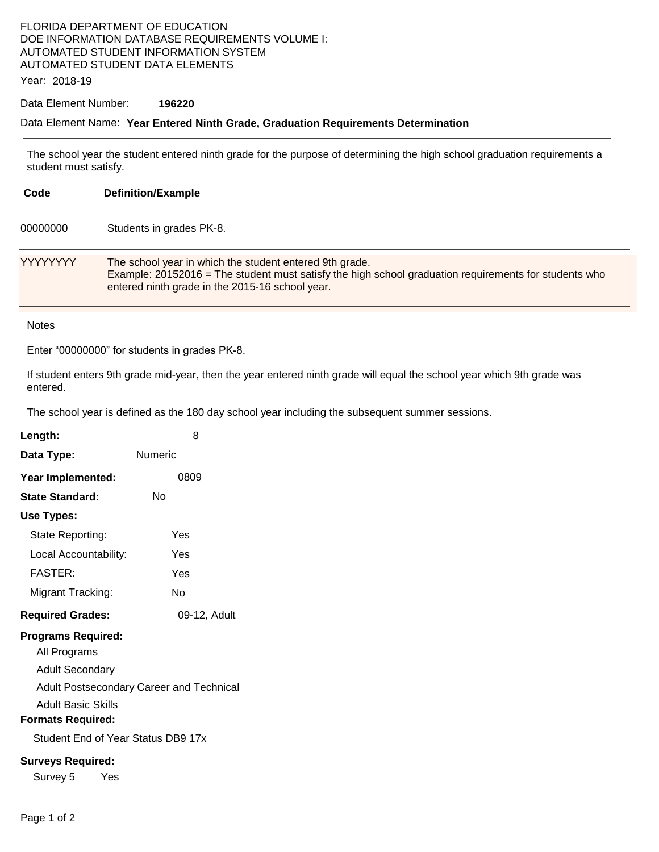## FLORIDA DEPARTMENT OF EDUCATION DOE INFORMATION DATABASE REQUIREMENTS VOLUME I: AUTOMATED STUDENT INFORMATION SYSTEM AUTOMATED STUDENT DATA ELEMENTS

Year: 2018-19

### Data Element Number: **196220**

#### Data Element Name: **Year Entered Ninth Grade, Graduation Requirements Determination**

The school year the student entered ninth grade for the purpose of determining the high school graduation requirements a student must satisfy.

| Code            | <b>Definition/Example</b>                                                                                                                                                                                           |
|-----------------|---------------------------------------------------------------------------------------------------------------------------------------------------------------------------------------------------------------------|
| 00000000        | Students in grades PK-8.                                                                                                                                                                                            |
| <b>YYYYYYYY</b> | The school year in which the student entered 9th grade.<br>Example: 20152016 = The student must satisfy the high school graduation requirements for students who<br>entered ninth grade in the 2015-16 school year. |

#### **Notes**

Enter "00000000" for students in grades PK-8.

If student enters 9th grade mid-year, then the year entered ninth grade will equal the school year which 9th grade was entered.

The school year is defined as the 180 day school year including the subsequent summer sessions.

| Length:                                  | 8            |  |  |  |
|------------------------------------------|--------------|--|--|--|
| Data Type:                               | Numeric      |  |  |  |
| Year Implemented:                        | 0809         |  |  |  |
| <b>State Standard:</b>                   | Nο           |  |  |  |
| Use Types:                               |              |  |  |  |
| State Reporting:                         | Yes          |  |  |  |
| Local Accountability:                    | Yes          |  |  |  |
| <b>FASTER:</b>                           | Yes          |  |  |  |
| Migrant Tracking:                        | N٥           |  |  |  |
| <b>Required Grades:</b>                  | 09-12, Adult |  |  |  |
| <b>Programs Required:</b>                |              |  |  |  |
| All Programs                             |              |  |  |  |
| Adult Secondary                          |              |  |  |  |
| Adult Postsecondary Career and Technical |              |  |  |  |
| Adult Basic Skills                       |              |  |  |  |
| <b>Formats Required:</b>                 |              |  |  |  |
| Student End of Year Status DB9 17x       |              |  |  |  |
| <b>Surveys Required:</b>                 |              |  |  |  |
| Survey 5<br>Yes                          |              |  |  |  |
|                                          |              |  |  |  |